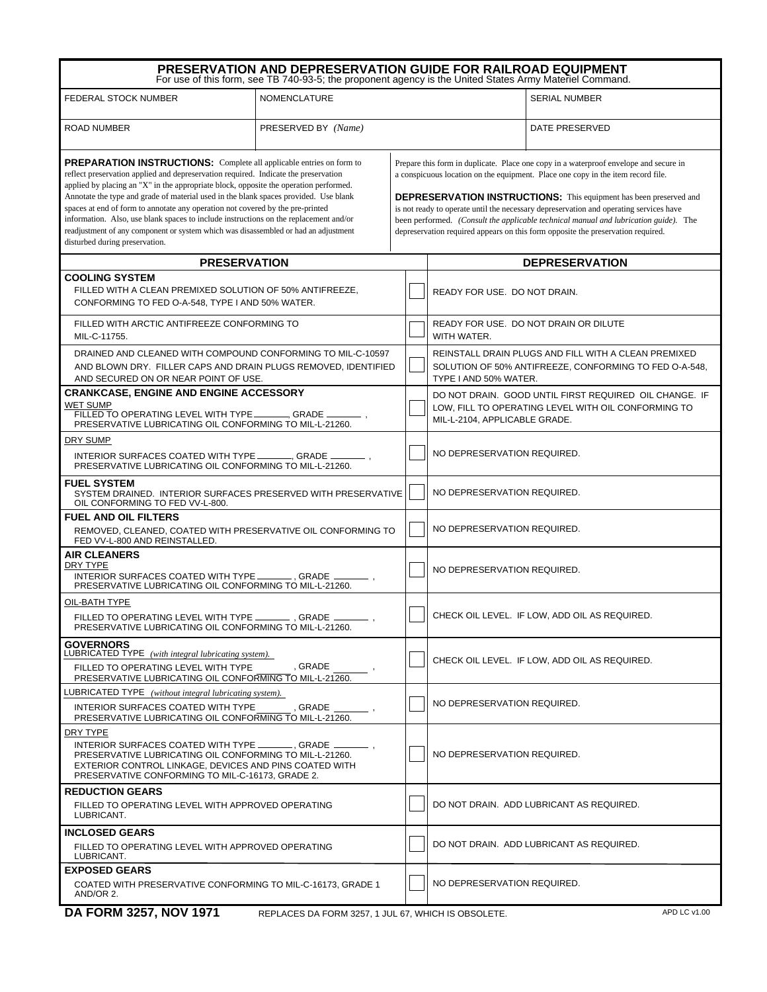|                                                                                                                                                                                                                                                                                                                                                                                                                                                                                                                                                                                                                                                         | PRESERVATION AND DEPRESERVATION GUIDE FOR RAILROAD EQUIPMENT<br>For use of this form, see TB 740-93-5; the proponent agency is the United States Army Materiel Command. |  |                                                                                                                                                                                                                                                                                                                                                                                                                                                                                                                              |                                                                                                               |  |
|---------------------------------------------------------------------------------------------------------------------------------------------------------------------------------------------------------------------------------------------------------------------------------------------------------------------------------------------------------------------------------------------------------------------------------------------------------------------------------------------------------------------------------------------------------------------------------------------------------------------------------------------------------|-------------------------------------------------------------------------------------------------------------------------------------------------------------------------|--|------------------------------------------------------------------------------------------------------------------------------------------------------------------------------------------------------------------------------------------------------------------------------------------------------------------------------------------------------------------------------------------------------------------------------------------------------------------------------------------------------------------------------|---------------------------------------------------------------------------------------------------------------|--|
| FEDERAL STOCK NUMBER                                                                                                                                                                                                                                                                                                                                                                                                                                                                                                                                                                                                                                    | <b>NOMENCLATURE</b>                                                                                                                                                     |  | <b>SERIAL NUMBER</b>                                                                                                                                                                                                                                                                                                                                                                                                                                                                                                         |                                                                                                               |  |
| <b>ROAD NUMBER</b>                                                                                                                                                                                                                                                                                                                                                                                                                                                                                                                                                                                                                                      | PRESERVED BY (Name)                                                                                                                                                     |  | DATE PRESERVED                                                                                                                                                                                                                                                                                                                                                                                                                                                                                                               |                                                                                                               |  |
| <b>PREPARATION INSTRUCTIONS:</b> Complete all applicable entries on form to<br>reflect preservation applied and depreservation required. Indicate the preservation<br>applied by placing an "X" in the appropriate block, opposite the operation performed.<br>Annotate the type and grade of material used in the blank spaces provided. Use blank<br>spaces at end of form to annotate any operation not covered by the pre-printed<br>information. Also, use blank spaces to include instructions on the replacement and/or<br>readjustment of any component or system which was disassembled or had an adjustment<br>disturbed during preservation. |                                                                                                                                                                         |  | Prepare this form in duplicate. Place one copy in a waterproof envelope and secure in<br>a conspicuous location on the equipment. Place one copy in the item record file.<br><b>DEPRESERVATION INSTRUCTIONS:</b> This equipment has been preserved and<br>is not ready to operate until the necessary depreservation and operating services have<br>been performed. (Consult the applicable technical manual and lubrication guide). The<br>depreservation required appears on this form opposite the preservation required. |                                                                                                               |  |
| <b>PRESERVATION</b>                                                                                                                                                                                                                                                                                                                                                                                                                                                                                                                                                                                                                                     |                                                                                                                                                                         |  | <b>DEPRESERVATION</b>                                                                                                                                                                                                                                                                                                                                                                                                                                                                                                        |                                                                                                               |  |
| <b>COOLING SYSTEM</b><br>FILLED WITH A CLEAN PREMIXED SOLUTION OF 50% ANTIFREEZE,<br>CONFORMING TO FED O-A-548, TYPE I AND 50% WATER.                                                                                                                                                                                                                                                                                                                                                                                                                                                                                                                   |                                                                                                                                                                         |  | READY FOR USE. DO NOT DRAIN.                                                                                                                                                                                                                                                                                                                                                                                                                                                                                                 |                                                                                                               |  |
| FILLED WITH ARCTIC ANTIFREEZE CONFORMING TO<br>MIL-C-11755.                                                                                                                                                                                                                                                                                                                                                                                                                                                                                                                                                                                             |                                                                                                                                                                         |  | READY FOR USE. DO NOT DRAIN OR DILUTE<br>WITH WATER.                                                                                                                                                                                                                                                                                                                                                                                                                                                                         |                                                                                                               |  |
| DRAINED AND CLEANED WITH COMPOUND CONFORMING TO MIL-C-10597<br>AND BLOWN DRY. FILLER CAPS AND DRAIN PLUGS REMOVED, IDENTIFIED<br>AND SECURED ON OR NEAR POINT OF USE.                                                                                                                                                                                                                                                                                                                                                                                                                                                                                   |                                                                                                                                                                         |  | REINSTALL DRAIN PLUGS AND FILL WITH A CLEAN PREMIXED<br>SOLUTION OF 50% ANTIFREEZE, CONFORMING TO FED O-A-548,<br>TYPE I AND 50% WATER.                                                                                                                                                                                                                                                                                                                                                                                      |                                                                                                               |  |
| <b>CRANKCASE, ENGINE AND ENGINE ACCESSORY</b><br><b>WET SUMP</b><br>FILLED TO OPERATING LEVEL WITH TYPE<br>____, GRADE _<br>PRESERVATIVE LUBRICATING OIL CONFORMING TO MIL-L-21260.                                                                                                                                                                                                                                                                                                                                                                                                                                                                     |                                                                                                                                                                         |  | MIL-L-2104, APPLICABLE GRADE.                                                                                                                                                                                                                                                                                                                                                                                                                                                                                                | DO NOT DRAIN. GOOD UNTIL FIRST REQUIRED OIL CHANGE. IF<br>LOW, FILL TO OPERATING LEVEL WITH OIL CONFORMING TO |  |
| DRY SUMP<br>INTERIOR SURFACES COATED WITH TYPE _<br>GRADE _<br>PRESERVATIVE LUBRICATING OIL CONFORMING TO MIL-L-21260.                                                                                                                                                                                                                                                                                                                                                                                                                                                                                                                                  |                                                                                                                                                                         |  | NO DEPRESERVATION REQUIRED.                                                                                                                                                                                                                                                                                                                                                                                                                                                                                                  |                                                                                                               |  |
| <b>FUEL SYSTEM</b><br>SYSTEM DRAINED. INTERIOR SURFACES PRESERVED WITH PRESERVATIVE<br>OIL CONFORMING TO FED VV-L-800.                                                                                                                                                                                                                                                                                                                                                                                                                                                                                                                                  |                                                                                                                                                                         |  | NO DEPRESERVATION REQUIRED.                                                                                                                                                                                                                                                                                                                                                                                                                                                                                                  |                                                                                                               |  |
| <b>FUEL AND OIL FILTERS</b><br>REMOVED, CLEANED, COATED WITH PRESERVATIVE OIL CONFORMING TO<br>FED VV-L-800 AND REINSTALLED.                                                                                                                                                                                                                                                                                                                                                                                                                                                                                                                            |                                                                                                                                                                         |  | NO DEPRESERVATION REQUIRED.                                                                                                                                                                                                                                                                                                                                                                                                                                                                                                  |                                                                                                               |  |
| <b>AIR CLEANERS</b><br>DRY TYPE<br>INTERIOR SURFACES COATED WITH TYPE.<br>. GRADE<br>PRESERVATIVE LUBRICATING OIL CONFORMING TO MIL-L-21260.                                                                                                                                                                                                                                                                                                                                                                                                                                                                                                            |                                                                                                                                                                         |  | NO DEPRESERVATION REQUIRED.                                                                                                                                                                                                                                                                                                                                                                                                                                                                                                  |                                                                                                               |  |
| OIL-BATH TYPE<br>FILLED TO OPERATING LEVEL WITH TYPE ___________, GRADE __<br>PRESERVATIVE LUBRICATING OIL CONFORMING TO MIL-L-21260.                                                                                                                                                                                                                                                                                                                                                                                                                                                                                                                   |                                                                                                                                                                         |  |                                                                                                                                                                                                                                                                                                                                                                                                                                                                                                                              | CHECK OIL LEVEL. IF LOW, ADD OIL AS REQUIRED.                                                                 |  |
| <b>GOVERNORS</b><br>LUBRICATED TYPE (with integral lubricating system).<br>FILLED TO OPERATING LEVEL WITH TYPE<br>PRESERVATIVE LUBRICATING OIL CONFORMING TO MIL-L-21260.                                                                                                                                                                                                                                                                                                                                                                                                                                                                               | . GRADE                                                                                                                                                                 |  |                                                                                                                                                                                                                                                                                                                                                                                                                                                                                                                              | CHECK OIL LEVEL. IF LOW, ADD OIL AS REQUIRED.                                                                 |  |
| LUBRICATED TYPE (without integral lubricating system).<br><b>INTERIOR SURFACES COATED WITH TYPE</b><br>PRESERVATIVE LUBRICATING OIL CONFORMING TO MIL-L-21260.                                                                                                                                                                                                                                                                                                                                                                                                                                                                                          | GRADE                                                                                                                                                                   |  | NO DEPRESERVATION REQUIRED.                                                                                                                                                                                                                                                                                                                                                                                                                                                                                                  |                                                                                                               |  |
| DRY TYPE<br>INTERIOR SURFACES COATED WITH TYPE __________. GRADE<br>PRESERVATIVE LUBRICATING OIL CONFORMING TO MIL-L-21260.<br>EXTERIOR CONTROL LINKAGE, DEVICES AND PINS COATED WITH<br>PRESERVATIVE CONFORMING TO MIL-C-16173. GRADE 2.                                                                                                                                                                                                                                                                                                                                                                                                               |                                                                                                                                                                         |  | NO DEPRESERVATION REQUIRED.                                                                                                                                                                                                                                                                                                                                                                                                                                                                                                  |                                                                                                               |  |
| <b>REDUCTION GEARS</b><br>FILLED TO OPERATING LEVEL WITH APPROVED OPERATING<br>LUBRICANT.                                                                                                                                                                                                                                                                                                                                                                                                                                                                                                                                                               |                                                                                                                                                                         |  |                                                                                                                                                                                                                                                                                                                                                                                                                                                                                                                              | DO NOT DRAIN. ADD LUBRICANT AS REQUIRED.                                                                      |  |
| <b>INCLOSED GEARS</b><br>FILLED TO OPERATING LEVEL WITH APPROVED OPERATING<br>LUBRICANT.                                                                                                                                                                                                                                                                                                                                                                                                                                                                                                                                                                |                                                                                                                                                                         |  |                                                                                                                                                                                                                                                                                                                                                                                                                                                                                                                              | DO NOT DRAIN. ADD LUBRICANT AS REQUIRED.                                                                      |  |
| <b>EXPOSED GEARS</b><br>COATED WITH PRESERVATIVE CONFORMING TO MIL-C-16173, GRADE 1<br>AND/OR 2.                                                                                                                                                                                                                                                                                                                                                                                                                                                                                                                                                        |                                                                                                                                                                         |  | NO DEPRESERVATION REQUIRED.                                                                                                                                                                                                                                                                                                                                                                                                                                                                                                  |                                                                                                               |  |
|                                                                                                                                                                                                                                                                                                                                                                                                                                                                                                                                                                                                                                                         |                                                                                                                                                                         |  |                                                                                                                                                                                                                                                                                                                                                                                                                                                                                                                              |                                                                                                               |  |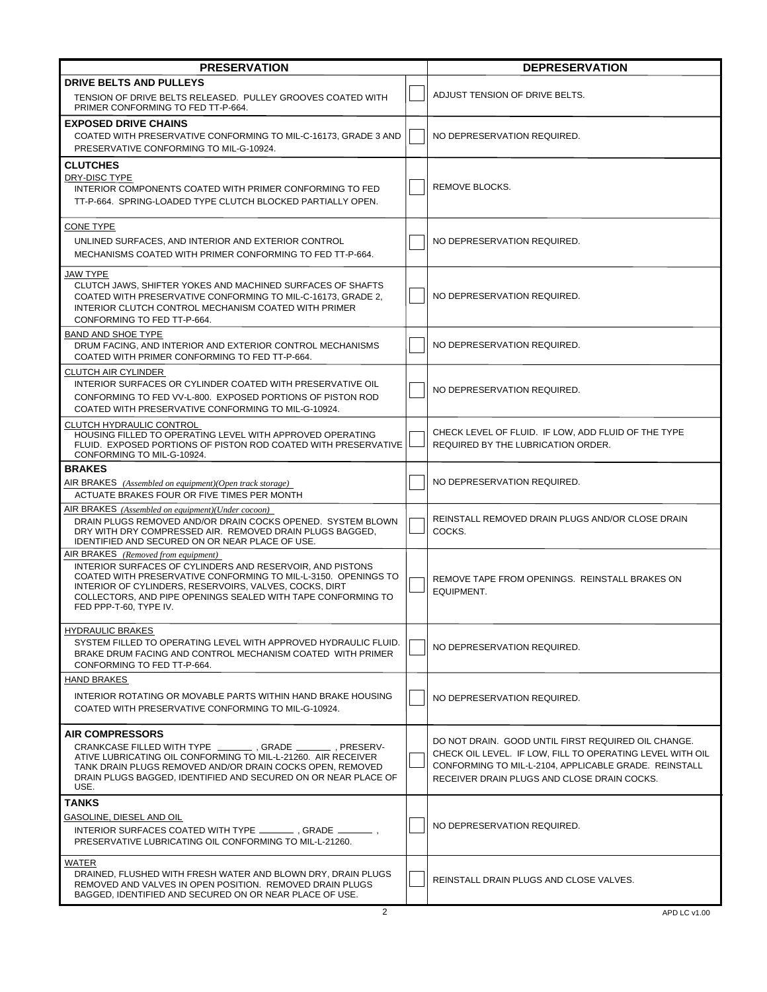| <b>PRESERVATION</b>                                                                                                                                                                                                                                                                                                    |  | <b>DEPRESERVATION</b>                                                                                                                                                                                                    |  |
|------------------------------------------------------------------------------------------------------------------------------------------------------------------------------------------------------------------------------------------------------------------------------------------------------------------------|--|--------------------------------------------------------------------------------------------------------------------------------------------------------------------------------------------------------------------------|--|
| <b>DRIVE BELTS AND PULLEYS</b><br>TENSION OF DRIVE BELTS RELEASED. PULLEY GROOVES COATED WITH<br>PRIMER CONFORMING TO FED TT-P-664.                                                                                                                                                                                    |  | ADJUST TENSION OF DRIVE BELTS.                                                                                                                                                                                           |  |
| <b>EXPOSED DRIVE CHAINS</b><br>COATED WITH PRESERVATIVE CONFORMING TO MIL-C-16173, GRADE 3 AND<br>PRESERVATIVE CONFORMING TO MIL-G-10924.                                                                                                                                                                              |  | NO DEPRESERVATION REQUIRED.                                                                                                                                                                                              |  |
| <b>CLUTCHES</b><br>DRY-DISC TYPE<br>INTERIOR COMPONENTS COATED WITH PRIMER CONFORMING TO FED<br>TT-P-664. SPRING-LOADED TYPE CLUTCH BLOCKED PARTIALLY OPEN.                                                                                                                                                            |  | REMOVE BLOCKS.                                                                                                                                                                                                           |  |
| <b>CONE TYPE</b><br>UNLINED SURFACES, AND INTERIOR AND EXTERIOR CONTROL<br>MECHANISMS COATED WITH PRIMER CONFORMING TO FED TT-P-664.                                                                                                                                                                                   |  | NO DEPRESERVATION REQUIRED.                                                                                                                                                                                              |  |
| JAW TYPE<br>CLUTCH JAWS, SHIFTER YOKES AND MACHINED SURFACES OF SHAFTS<br>COATED WITH PRESERVATIVE CONFORMING TO MIL-C-16173, GRADE 2,<br>INTERIOR CLUTCH CONTROL MECHANISM COATED WITH PRIMER<br>CONFORMING TO FED TT-P-664.                                                                                          |  | NO DEPRESERVATION REQUIRED.                                                                                                                                                                                              |  |
| <b>BAND AND SHOE TYPE</b><br>DRUM FACING, AND INTERIOR AND EXTERIOR CONTROL MECHANISMS<br>COATED WITH PRIMER CONFORMING TO FED TT-P-664.                                                                                                                                                                               |  | NO DEPRESERVATION REQUIRED.                                                                                                                                                                                              |  |
| <b>CLUTCH AIR CYLINDER</b><br>INTERIOR SURFACES OR CYLINDER COATED WITH PRESERVATIVE OIL<br>CONFORMING TO FED VV-L-800. EXPOSED PORTIONS OF PISTON ROD<br>COATED WITH PRESERVATIVE CONFORMING TO MIL-G-10924.                                                                                                          |  | NO DEPRESERVATION REQUIRED.                                                                                                                                                                                              |  |
| CLUTCH HYDRAULIC CONTROL<br>HOUSING FILLED TO OPERATING LEVEL WITH APPROVED OPERATING<br>FLUID. EXPOSED PORTIONS OF PISTON ROD COATED WITH PRESERVATIVE<br>CONFORMING TO MIL-G-10924.                                                                                                                                  |  | CHECK LEVEL OF FLUID. IF LOW, ADD FLUID OF THE TYPE<br>REQUIRED BY THE LUBRICATION ORDER.                                                                                                                                |  |
| <b>BRAKES</b><br>AIR BRAKES (Assembled on equipment)(Open track storage)<br>ACTUATE BRAKES FOUR OR FIVE TIMES PER MONTH                                                                                                                                                                                                |  | NO DEPRESERVATION REQUIRED.                                                                                                                                                                                              |  |
| AIR BRAKES (Assembled on equipment)(Under cocoon)<br>DRAIN PLUGS REMOVED AND/OR DRAIN COCKS OPENED. SYSTEM BLOWN<br>DRY WITH DRY COMPRESSED AIR. REMOVED DRAIN PLUGS BAGGED.<br>IDENTIFIED AND SECURED ON OR NEAR PLACE OF USE.                                                                                        |  | REINSTALL REMOVED DRAIN PLUGS AND/OR CLOSE DRAIN<br>COCKS.                                                                                                                                                               |  |
| AIR BRAKES (Removed from equipment)<br>INTERIOR SURFACES OF CYLINDERS AND RESERVOIR, AND PISTONS<br>COATED WITH PRESERVATIVE CONFORMING TO MIL-L-3150. OPENINGS TO<br>INTERIOR OF CYLINDERS, RESERVOIRS, VALVES, COCKS, DIRT<br>COLLECTORS. AND PIPE OPENINGS SEALED WITH TAPE CONFORMING TO<br>FED PPP-T-60, TYPE IV. |  | REMOVE TAPE FROM OPENINGS. REINSTALL BRAKES ON<br>EQUIPMENT.                                                                                                                                                             |  |
| <b>HYDRAULIC BRAKES</b><br>SYSTEM FILLED TO OPERATING LEVEL WITH APPROVED HYDRAULIC FLUID.<br>BRAKE DRUM FACING AND CONTROL MECHANISM COATED WITH PRIMER<br>CONFORMING TO FED TT-P-664.                                                                                                                                |  | NO DEPRESERVATION REQUIRED.                                                                                                                                                                                              |  |
| <b>HAND BRAKES</b><br>INTERIOR ROTATING OR MOVABLE PARTS WITHIN HAND BRAKE HOUSING<br>COATED WITH PRESERVATIVE CONFORMING TO MIL-G-10924.                                                                                                                                                                              |  | NO DEPRESERVATION REQUIRED.                                                                                                                                                                                              |  |
| <b>AIR COMPRESSORS</b><br>ATIVE LUBRICATING OIL CONFORMING TO MIL-L-21260. AIR RECEIVER<br>TANK DRAIN PLUGS REMOVED AND/OR DRAIN COCKS OPEN. REMOVED<br>DRAIN PLUGS BAGGED. IDENTIFIED AND SECURED ON OR NEAR PLACE OF<br>USE.                                                                                         |  | DO NOT DRAIN. GOOD UNTIL FIRST REQUIRED OIL CHANGE.<br>CHECK OIL LEVEL. IF LOW, FILL TO OPERATING LEVEL WITH OIL<br>CONFORMING TO MIL-L-2104, APPLICABLE GRADE. REINSTALL<br>RECEIVER DRAIN PLUGS AND CLOSE DRAIN COCKS. |  |
| TANKS<br>GASOLINE, DIESEL AND OIL<br>PRESERVATIVE LUBRICATING OIL CONFORMING TO MIL-L-21260.                                                                                                                                                                                                                           |  | NO DEPRESERVATION REQUIRED.                                                                                                                                                                                              |  |
| WATER<br>DRAINED, FLUSHED WITH FRESH WATER AND BLOWN DRY, DRAIN PLUGS<br>REMOVED AND VALVES IN OPEN POSITION. REMOVED DRAIN PLUGS<br>BAGGED, IDENTIFIED AND SECURED ON OR NEAR PLACE OF USE.                                                                                                                           |  | REINSTALL DRAIN PLUGS AND CLOSE VALVES.                                                                                                                                                                                  |  |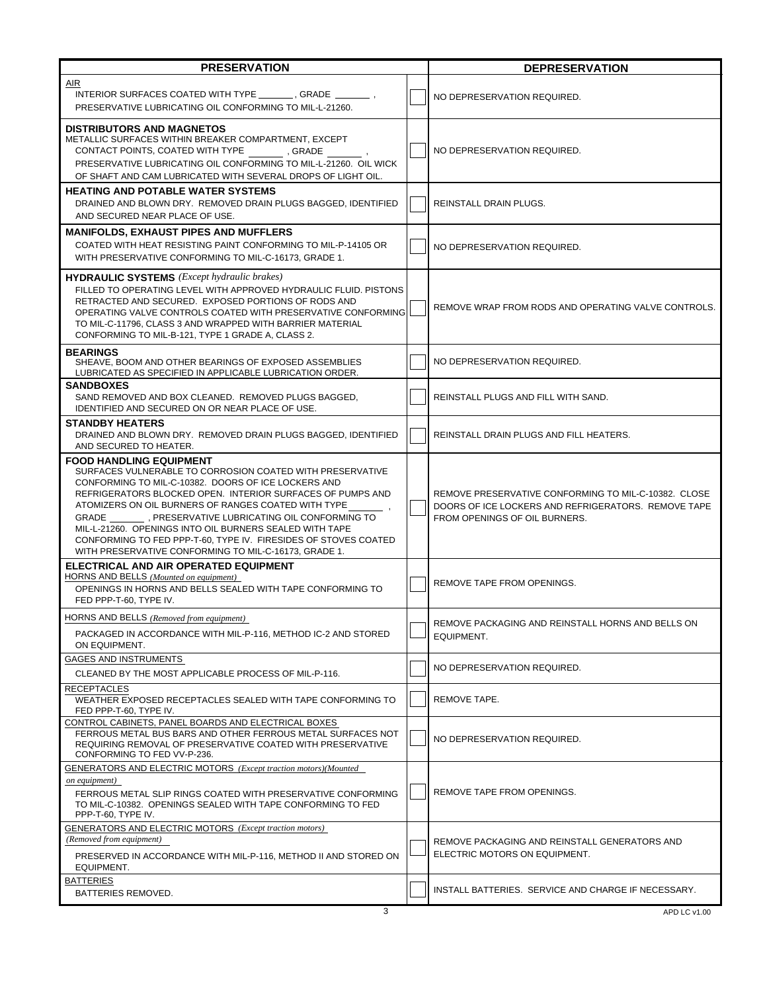| <b>PRESERVATION</b>                                                                                                                                                                                                                                                                                                                                                                                                                                                                                                           |  | <b>DEPRESERVATION</b>                                                                                                                        |  |
|-------------------------------------------------------------------------------------------------------------------------------------------------------------------------------------------------------------------------------------------------------------------------------------------------------------------------------------------------------------------------------------------------------------------------------------------------------------------------------------------------------------------------------|--|----------------------------------------------------------------------------------------------------------------------------------------------|--|
| AIR<br>INTERIOR SURFACES COATED WITH TYPE GRADE .<br>PRESERVATIVE LUBRICATING OIL CONFORMING TO MIL-L-21260.                                                                                                                                                                                                                                                                                                                                                                                                                  |  | NO DEPRESERVATION REQUIRED.                                                                                                                  |  |
| <b>DISTRIBUTORS AND MAGNETOS</b><br>METALLIC SURFACES WITHIN BREAKER COMPARTMENT, EXCEPT<br>CONTACT POINTS, COATED WITH TYPE , GRADE<br>PRESERVATIVE LUBRICATING OIL CONFORMING TO MIL-L-21260. OIL WICK<br>OF SHAFT AND CAM LUBRICATED WITH SEVERAL DROPS OF LIGHT OIL.                                                                                                                                                                                                                                                      |  | NO DEPRESERVATION REQUIRED.                                                                                                                  |  |
| <b>HEATING AND POTABLE WATER SYSTEMS</b><br>DRAINED AND BLOWN DRY. REMOVED DRAIN PLUGS BAGGED, IDENTIFIED<br>AND SECURED NEAR PLACE OF USE.                                                                                                                                                                                                                                                                                                                                                                                   |  | <b>REINSTALL DRAIN PLUGS.</b>                                                                                                                |  |
| <b>MANIFOLDS, EXHAUST PIPES AND MUFFLERS</b><br>COATED WITH HEAT RESISTING PAINT CONFORMING TO MIL-P-14105 OR<br>WITH PRESERVATIVE CONFORMING TO MIL-C-16173, GRADE 1.                                                                                                                                                                                                                                                                                                                                                        |  | NO DEPRESERVATION REQUIRED.                                                                                                                  |  |
| <b>HYDRAULIC SYSTEMS</b> ( <i>Except hydraulic brakes</i> )<br>FILLED TO OPERATING LEVEL WITH APPROVED HYDRAULIC FLUID. PISTONS<br>RETRACTED AND SECURED. EXPOSED PORTIONS OF RODS AND<br>OPERATING VALVE CONTROLS COATED WITH PRESERVATIVE CONFORMING<br>TO MIL-C-11796, CLASS 3 AND WRAPPED WITH BARRIER MATERIAL<br>CONFORMING TO MIL-B-121, TYPE 1 GRADE A, CLASS 2.                                                                                                                                                      |  | REMOVE WRAP FROM RODS AND OPERATING VALVE CONTROLS.                                                                                          |  |
| <b>BEARINGS</b><br>SHEAVE, BOOM AND OTHER BEARINGS OF EXPOSED ASSEMBLIES<br>LUBRICATED AS SPECIFIED IN APPLICABLE LUBRICATION ORDER.                                                                                                                                                                                                                                                                                                                                                                                          |  | NO DEPRESERVATION REQUIRED.                                                                                                                  |  |
| <b>SANDBOXES</b><br>SAND REMOVED AND BOX CLEANED. REMOVED PLUGS BAGGED,<br>IDENTIFIED AND SECURED ON OR NEAR PLACE OF USE.                                                                                                                                                                                                                                                                                                                                                                                                    |  | REINSTALL PLUGS AND FILL WITH SAND.                                                                                                          |  |
| <b>STANDBY HEATERS</b><br>DRAINED AND BLOWN DRY. REMOVED DRAIN PLUGS BAGGED, IDENTIFIED<br>AND SECURED TO HEATER.                                                                                                                                                                                                                                                                                                                                                                                                             |  | REINSTALL DRAIN PLUGS AND FILL HEATERS.                                                                                                      |  |
| <b>FOOD HANDLING EQUIPMENT</b><br>SURFACES VULNERABLE TO CORROSION COATED WITH PRESERVATIVE<br>CONFORMING TO MIL-C-10382. DOORS OF ICE LOCKERS AND<br>REFRIGERATORS BLOCKED OPEN. INTERIOR SURFACES OF PUMPS AND<br>ATOMIZERS ON OIL BURNERS OF RANGES COATED WITH TYPE<br>GRADE _________, PRESERVATIVE LUBRICATING OIL CONFORMING TO<br>MIL-L-21260. OPENINGS INTO OIL BURNERS SEALED WITH TAPE<br>CONFORMING TO FED PPP-T-60, TYPE IV. FIRESIDES OF STOVES COATED<br>WITH PRESERVATIVE CONFORMING TO MIL-C-16173, GRADE 1. |  | REMOVE PRESERVATIVE CONFORMING TO MIL-C-10382. CLOSE<br>DOORS OF ICE LOCKERS AND REFRIGERATORS. REMOVE TAPE<br>FROM OPENINGS OF OIL BURNERS. |  |
| ELECTRICAL AND AIR OPERATED EQUIPMENT<br>HORNS AND BELLS (Mounted on equipment)<br>OPENINGS IN HORNS AND BELLS SEALED WITH TAPE CONFORMING TO<br>FED PPP-T-60, TYPE IV.                                                                                                                                                                                                                                                                                                                                                       |  | REMOVE TAPE FROM OPENINGS.                                                                                                                   |  |
| HORNS AND BELLS (Removed from equipment)<br>PACKAGED IN ACCORDANCE WITH MIL-P-116, METHOD IC-2 AND STORED<br>ON EQUIPMENT.                                                                                                                                                                                                                                                                                                                                                                                                    |  | REMOVE PACKAGING AND REINSTALL HORNS AND BELLS ON<br>EQUIPMENT.                                                                              |  |
| GAGES AND INSTRUMENTS<br>CLEANED BY THE MOST APPLICABLE PROCESS OF MIL-P-116.                                                                                                                                                                                                                                                                                                                                                                                                                                                 |  | NO DEPRESERVATION REQUIRED.                                                                                                                  |  |
| <b>RECEPTACLES</b><br>WEATHER EXPOSED RECEPTACLES SEALED WITH TAPE CONFORMING TO<br>FED PPP-T-60, TYPE IV.                                                                                                                                                                                                                                                                                                                                                                                                                    |  | REMOVE TAPE.                                                                                                                                 |  |
| CONTROL CABINETS, PANEL BOARDS AND ELECTRICAL BOXES<br>FERROUS METAL BUS BARS AND OTHER FERROUS METAL SURFACES NOT<br>REQUIRING REMOVAL OF PRESERVATIVE COATED WITH PRESERVATIVE<br>CONFORMING TO FED VV-P-236.                                                                                                                                                                                                                                                                                                               |  | NO DEPRESERVATION REQUIRED.                                                                                                                  |  |
| GENERATORS AND ELECTRIC MOTORS (Except traction motors)(Mounted<br>on equipment)<br>FERROUS METAL SLIP RINGS COATED WITH PRESERVATIVE CONFORMING<br>TO MIL-C-10382. OPENINGS SEALED WITH TAPE CONFORMING TO FED<br>PPP-T-60, TYPE IV.                                                                                                                                                                                                                                                                                         |  | REMOVE TAPE FROM OPENINGS.                                                                                                                   |  |
| GENERATORS AND ELECTRIC MOTORS (Except traction motors)<br>(Removed from equipment)<br>PRESERVED IN ACCORDANCE WITH MIL-P-116, METHOD II AND STORED ON                                                                                                                                                                                                                                                                                                                                                                        |  | REMOVE PACKAGING AND REINSTALL GENERATORS AND<br>ELECTRIC MOTORS ON EQUIPMENT.                                                               |  |
| EQUIPMENT.<br><b>BATTERIES</b><br>BATTERIES REMOVED.                                                                                                                                                                                                                                                                                                                                                                                                                                                                          |  | INSTALL BATTERIES. SERVICE AND CHARGE IF NECESSARY.                                                                                          |  |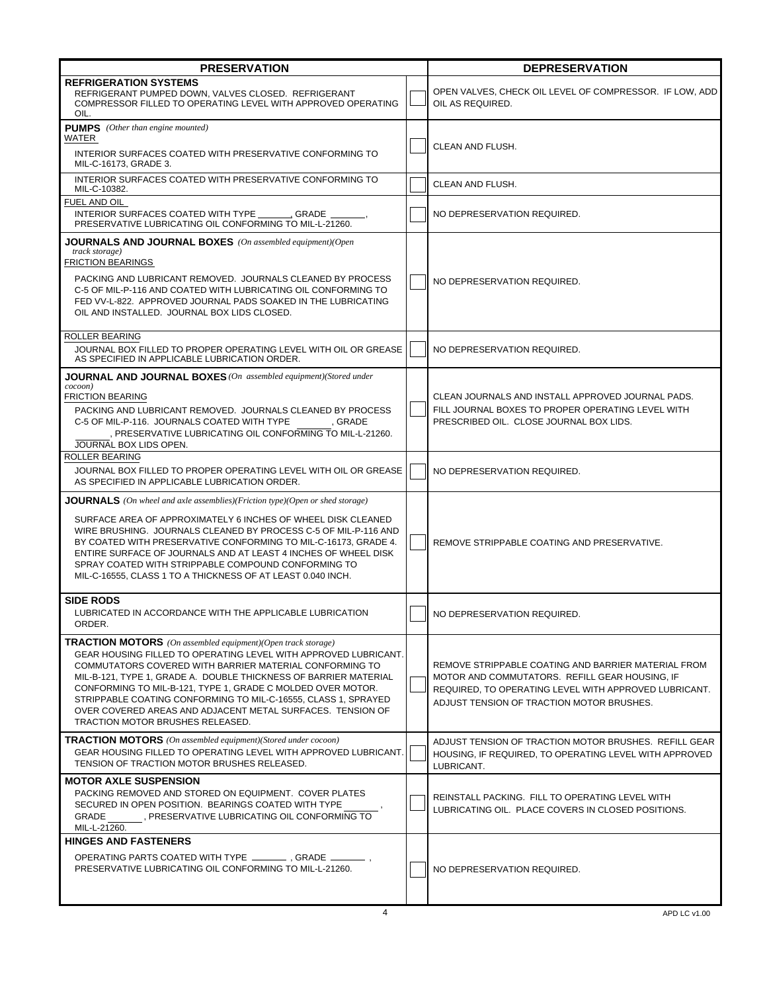| <b>PRESERVATION</b>                                                                                                                                                                                                                                                                                                                                                                                                                                                                                      |  | <b>DEPRESERVATION</b>                                                                                                                                                                                       |  |
|----------------------------------------------------------------------------------------------------------------------------------------------------------------------------------------------------------------------------------------------------------------------------------------------------------------------------------------------------------------------------------------------------------------------------------------------------------------------------------------------------------|--|-------------------------------------------------------------------------------------------------------------------------------------------------------------------------------------------------------------|--|
| <b>REFRIGERATION SYSTEMS</b><br>REFRIGERANT PUMPED DOWN, VALVES CLOSED. REFRIGERANT<br>COMPRESSOR FILLED TO OPERATING LEVEL WITH APPROVED OPERATING<br>OIL.                                                                                                                                                                                                                                                                                                                                              |  | OPEN VALVES, CHECK OIL LEVEL OF COMPRESSOR. IF LOW, ADD<br>OIL AS REQUIRED.                                                                                                                                 |  |
| <b>PUMPS</b> (Other than engine mounted)<br>WATER<br>INTERIOR SURFACES COATED WITH PRESERVATIVE CONFORMING TO                                                                                                                                                                                                                                                                                                                                                                                            |  | CLEAN AND FLUSH.                                                                                                                                                                                            |  |
| MIL-C-16173, GRADE 3.<br>INTERIOR SURFACES COATED WITH PRESERVATIVE CONFORMING TO                                                                                                                                                                                                                                                                                                                                                                                                                        |  | CLEAN AND FLUSH.                                                                                                                                                                                            |  |
| MIL-C-10382.<br>FUEL AND OIL                                                                                                                                                                                                                                                                                                                                                                                                                                                                             |  |                                                                                                                                                                                                             |  |
| INTERIOR SURFACES COATED WITH TYPE<br>GRADE ,<br>PRESERVATIVE LUBRICATING OIL CONFORMING TO MIL-L-21260.                                                                                                                                                                                                                                                                                                                                                                                                 |  | NO DEPRESERVATION REQUIRED.                                                                                                                                                                                 |  |
| <b>JOURNALS AND JOURNAL BOXES</b> (On assembled equipment)(Open<br><i>track storage</i> )<br>FRICTION BEARINGS                                                                                                                                                                                                                                                                                                                                                                                           |  |                                                                                                                                                                                                             |  |
| PACKING AND LUBRICANT REMOVED. JOURNALS CLEANED BY PROCESS<br>C-5 OF MIL-P-116 AND COATED WITH LUBRICATING OIL CONFORMING TO<br>FED VV-L-822. APPROVED JOURNAL PADS SOAKED IN THE LUBRICATING<br>OIL AND INSTALLED. JOURNAL BOX LIDS CLOSED.                                                                                                                                                                                                                                                             |  | NO DEPRESERVATION REQUIRED.                                                                                                                                                                                 |  |
| ROLLER BEARING<br>JOURNAL BOX FILLED TO PROPER OPERATING LEVEL WITH OIL OR GREASE<br>AS SPECIFIED IN APPLICABLE LUBRICATION ORDER.                                                                                                                                                                                                                                                                                                                                                                       |  | NO DEPRESERVATION REQUIRED.                                                                                                                                                                                 |  |
| <b>JOURNAL AND JOURNAL BOXES</b> (On assembled equipment) (Stored under                                                                                                                                                                                                                                                                                                                                                                                                                                  |  |                                                                                                                                                                                                             |  |
| cocoon)<br>FRICTION BEARING<br>PACKING AND LUBRICANT REMOVED. JOURNALS CLEANED BY PROCESS<br>C-5 OF MIL-P-116. JOURNALS COATED WITH TYPE<br>, GRADE<br>, PRESERVATIVE LUBRICATING OIL CONFORMING TO MIL-L-21260.<br>JOURNAL BOX LIDS OPEN.                                                                                                                                                                                                                                                               |  | CLEAN JOURNALS AND INSTALL APPROVED JOURNAL PADS.<br>FILL JOURNAL BOXES TO PROPER OPERATING LEVEL WITH<br>PRESCRIBED OIL. CLOSE JOURNAL BOX LIDS.                                                           |  |
| ROLLER BEARING<br>JOURNAL BOX FILLED TO PROPER OPERATING LEVEL WITH OIL OR GREASE<br>AS SPECIFIED IN APPLICABLE LUBRICATION ORDER.                                                                                                                                                                                                                                                                                                                                                                       |  | NO DEPRESERVATION REQUIRED.                                                                                                                                                                                 |  |
| <b>JOURNALS</b> (On wheel and axle assemblies)(Friction type)(Open or shed storage)                                                                                                                                                                                                                                                                                                                                                                                                                      |  |                                                                                                                                                                                                             |  |
| SURFACE AREA OF APPROXIMATELY 6 INCHES OF WHEEL DISK CLEANED<br>WIRE BRUSHING. JOURNALS CLEANED BY PROCESS C-5 OF MIL-P-116 AND<br>BY COATED WITH PRESERVATIVE CONFORMING TO MIL-C-16173, GRADE 4.<br>ENTIRE SURFACE OF JOURNALS AND AT LEAST 4 INCHES OF WHEEL DISK<br>SPRAY COATED WITH STRIPPABLE COMPOUND CONFORMING TO<br>MIL-C-16555, CLASS 1 TO A THICKNESS OF AT LEAST 0.040 INCH.                                                                                                               |  | REMOVE STRIPPABLE COATING AND PRESERVATIVE.                                                                                                                                                                 |  |
| <b>SIDE RODS</b><br>LUBRICATED IN ACCORDANCE WITH THE APPLICABLE LUBRICATION<br>ORDER.                                                                                                                                                                                                                                                                                                                                                                                                                   |  | NO DEPRESERVATION REQUIRED.                                                                                                                                                                                 |  |
| <b>TRACTION MOTORS</b> (On assembled equipment)(Open track storage)<br>GEAR HOUSING FILLED TO OPERATING LEVEL WITH APPROVED LUBRICANT.<br>COMMUTATORS COVERED WITH BARRIER MATERIAL CONFORMING TO<br>MIL-B-121. TYPE 1. GRADE A. DOUBLE THICKNESS OF BARRIER MATERIAL<br>CONFORMING TO MIL-B-121, TYPE 1, GRADE C MOLDED OVER MOTOR.<br>STRIPPABLE COATING CONFORMING TO MIL-C-16555, CLASS 1, SPRAYED<br>OVER COVERED AREAS AND ADJACENT METAL SURFACES. TENSION OF<br>TRACTION MOTOR BRUSHES RELEASED. |  | REMOVE STRIPPABLE COATING AND BARRIER MATERIAL FROM<br>MOTOR AND COMMUTATORS. REFILL GEAR HOUSING, IF<br>REQUIRED. TO OPERATING LEVEL WITH APPROVED LUBRICANT.<br>ADJUST TENSION OF TRACTION MOTOR BRUSHES. |  |
| <b>TRACTION MOTORS</b> (On assembled equipment)(Stored under cocoon)<br>GEAR HOUSING FILLED TO OPERATING LEVEL WITH APPROVED LUBRICANT.<br>TENSION OF TRACTION MOTOR BRUSHES RELEASED.                                                                                                                                                                                                                                                                                                                   |  | ADJUST TENSION OF TRACTION MOTOR BRUSHES. REFILL GEAR<br>HOUSING, IF REQUIRED, TO OPERATING LEVEL WITH APPROVED<br>LUBRICANT.                                                                               |  |
| <b>MOTOR AXLE SUSPENSION</b><br>PACKING REMOVED AND STORED ON EQUIPMENT. COVER PLATES<br>SECURED IN OPEN POSITION. BEARINGS COATED WITH TYPE<br>GRADE<br>, PRESERVATIVE LUBRICATING OIL CONFORMING TO<br>MIL-L-21260.                                                                                                                                                                                                                                                                                    |  | REINSTALL PACKING. FILL TO OPERATING LEVEL WITH<br>LUBRICATING OIL. PLACE COVERS IN CLOSED POSITIONS.                                                                                                       |  |
| <b>HINGES AND FASTENERS</b>                                                                                                                                                                                                                                                                                                                                                                                                                                                                              |  |                                                                                                                                                                                                             |  |
| PRESERVATIVE LUBRICATING OIL CONFORMING TO MIL-L-21260.                                                                                                                                                                                                                                                                                                                                                                                                                                                  |  | NO DEPRESERVATION REQUIRED.                                                                                                                                                                                 |  |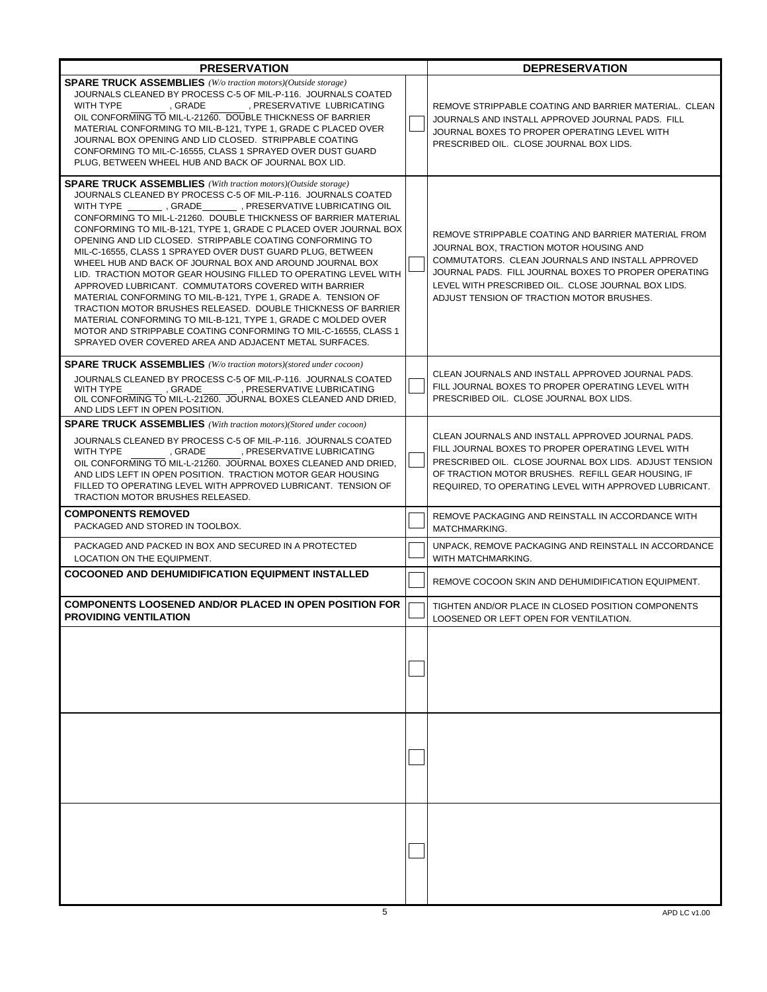| <b>PRESERVATION</b>                                                                                                                                                                                                                                                                                                                                                                                                                                                                                                                                                                                                                                                                                                                                                                                                                                                                                                                                                                                  |  | <b>DEPRESERVATION</b>                                                                                                                                                                                                                                                                                         |  |
|------------------------------------------------------------------------------------------------------------------------------------------------------------------------------------------------------------------------------------------------------------------------------------------------------------------------------------------------------------------------------------------------------------------------------------------------------------------------------------------------------------------------------------------------------------------------------------------------------------------------------------------------------------------------------------------------------------------------------------------------------------------------------------------------------------------------------------------------------------------------------------------------------------------------------------------------------------------------------------------------------|--|---------------------------------------------------------------------------------------------------------------------------------------------------------------------------------------------------------------------------------------------------------------------------------------------------------------|--|
| <b>SPARE TRUCK ASSEMBLIES</b> (W/o traction motors)(Outside storage)<br>JOURNALS CLEANED BY PROCESS C-5 OF MIL-P-116. JOURNALS COATED<br>GRADE PRESERVATIVE LUBRICATING<br>WITH TYPE<br>OIL CONFORMING TO MIL-L-21260. DOUBLE THICKNESS OF BARRIER<br>MATERIAL CONFORMING TO MIL-B-121, TYPE 1, GRADE C PLACED OVER<br>JOURNAL BOX OPENING AND LID CLOSED. STRIPPABLE COATING<br>CONFORMING TO MIL-C-16555, CLASS 1 SPRAYED OVER DUST GUARD<br>PLUG, BETWEEN WHEEL HUB AND BACK OF JOURNAL BOX LID.                                                                                                                                                                                                                                                                                                                                                                                                                                                                                                  |  | REMOVE STRIPPABLE COATING AND BARRIER MATERIAL. CLEAN<br>JOURNALS AND INSTALL APPROVED JOURNAL PADS. FILL<br>JOURNAL BOXES TO PROPER OPERATING LEVEL WITH<br>PRESCRIBED OIL. CLOSE JOURNAL BOX LIDS.                                                                                                          |  |
| <b>SPARE TRUCK ASSEMBLIES</b> (With traction motors)(Outside storage)<br>JOURNALS CLEANED BY PROCESS C-5 OF MIL-P-116. JOURNALS COATED<br>WITH TYPE __________, GRADE _________, PRESERVATIVE LUBRICATING OIL<br>CONFORMING TO MIL-L-21260. DOUBLE THICKNESS OF BARRIER MATERIAL<br>CONFORMING TO MIL-B-121, TYPE 1, GRADE C PLACED OVER JOURNAL BOX<br>OPENING AND LID CLOSED. STRIPPABLE COATING CONFORMING TO<br>MIL-C-16555, CLASS 1 SPRAYED OVER DUST GUARD PLUG, BETWEEN<br>WHEEL HUB AND BACK OF JOURNAL BOX AND AROUND JOURNAL BOX<br>LID. TRACTION MOTOR GEAR HOUSING FILLED TO OPERATING LEVEL WITH<br>APPROVED LUBRICANT. COMMUTATORS COVERED WITH BARRIER<br>MATERIAL CONFORMING TO MIL-B-121, TYPE 1, GRADE A. TENSION OF<br>TRACTION MOTOR BRUSHES RELEASED. DOUBLE THICKNESS OF BARRIER<br>MATERIAL CONFORMING TO MIL-B-121, TYPE 1, GRADE C MOLDED OVER<br>MOTOR AND STRIPPABLE COATING CONFORMING TO MIL-C-16555, CLASS 1<br>SPRAYED OVER COVERED AREA AND ADJACENT METAL SURFACES. |  | REMOVE STRIPPABLE COATING AND BARRIER MATERIAL FROM<br>JOURNAL BOX, TRACTION MOTOR HOUSING AND<br>COMMUTATORS. CLEAN JOURNALS AND INSTALL APPROVED<br>JOURNAL PADS. FILL JOURNAL BOXES TO PROPER OPERATING<br>LEVEL WITH PRESCRIBED OIL. CLOSE JOURNAL BOX LIDS.<br>ADJUST TENSION OF TRACTION MOTOR BRUSHES. |  |
| <b>SPARE TRUCK ASSEMBLIES</b> (W/o traction motors)(stored under cocoon)<br>JOURNALS CLEANED BY PROCESS C-5 OF MIL-P-116. JOURNALS COATED<br>WITH TYPE<br>, GRADE , PRESERVATIVE LUBRICATING<br>OIL CONFORMING TO MIL-L-21260. JOURNAL BOXES CLEANED AND DRIED,<br>AND LIDS LEFT IN OPEN POSITION.                                                                                                                                                                                                                                                                                                                                                                                                                                                                                                                                                                                                                                                                                                   |  | CLEAN JOURNALS AND INSTALL APPROVED JOURNAL PADS.<br>FILL JOURNAL BOXES TO PROPER OPERATING LEVEL WITH<br>PRESCRIBED OIL. CLOSE JOURNAL BOX LIDS.                                                                                                                                                             |  |
| <b>SPARE TRUCK ASSEMBLIES</b> (With traction motors)(Stored under cocoon)<br>JOURNALS CLEANED BY PROCESS C-5 OF MIL-P-116. JOURNALS COATED<br>WITH TYPE<br>, GRADE<br>, PRESERVATIVE LUBRICATING<br>OIL CONFORMING TO MIL-L-21260. JOURNAL BOXES CLEANED AND DRIED.<br>AND LIDS LEFT IN OPEN POSITION. TRACTION MOTOR GEAR HOUSING<br>FILLED TO OPERATING LEVEL WITH APPROVED LUBRICANT. TENSION OF<br>TRACTION MOTOR BRUSHES RELEASED.                                                                                                                                                                                                                                                                                                                                                                                                                                                                                                                                                              |  | CLEAN JOURNALS AND INSTALL APPROVED JOURNAL PADS.<br>FILL JOURNAL BOXES TO PROPER OPERATING LEVEL WITH<br>PRESCRIBED OIL. CLOSE JOURNAL BOX LIDS. ADJUST TENSION<br>OF TRACTION MOTOR BRUSHES. REFILL GEAR HOUSING, IF<br>REQUIRED, TO OPERATING LEVEL WITH APPROVED LUBRICANT.                               |  |
| <b>COMPONENTS REMOVED</b><br>PACKAGED AND STORED IN TOOLBOX.                                                                                                                                                                                                                                                                                                                                                                                                                                                                                                                                                                                                                                                                                                                                                                                                                                                                                                                                         |  | REMOVE PACKAGING AND REINSTALL IN ACCORDANCE WITH<br>MATCHMARKING.                                                                                                                                                                                                                                            |  |
| PACKAGED AND PACKED IN BOX AND SECURED IN A PROTECTED<br>LOCATION ON THE EQUIPMENT.                                                                                                                                                                                                                                                                                                                                                                                                                                                                                                                                                                                                                                                                                                                                                                                                                                                                                                                  |  | UNPACK, REMOVE PACKAGING AND REINSTALL IN ACCORDANCE<br>WITH MATCHMARKING.                                                                                                                                                                                                                                    |  |
| <b>COCOONED AND DEHUMIDIFICATION EQUIPMENT INSTALLED</b>                                                                                                                                                                                                                                                                                                                                                                                                                                                                                                                                                                                                                                                                                                                                                                                                                                                                                                                                             |  | REMOVE COCOON SKIN AND DEHUMIDIFICATION EQUIPMENT.                                                                                                                                                                                                                                                            |  |
| <b>COMPONENTS LOOSENED AND/OR PLACED IN OPEN POSITION FOR</b><br>PROVIDING VENTILATION                                                                                                                                                                                                                                                                                                                                                                                                                                                                                                                                                                                                                                                                                                                                                                                                                                                                                                               |  | TIGHTEN AND/OR PLACE IN CLOSED POSITION COMPONENTS<br>LOOSENED OR LEFT OPEN FOR VENTILATION.                                                                                                                                                                                                                  |  |
|                                                                                                                                                                                                                                                                                                                                                                                                                                                                                                                                                                                                                                                                                                                                                                                                                                                                                                                                                                                                      |  |                                                                                                                                                                                                                                                                                                               |  |
|                                                                                                                                                                                                                                                                                                                                                                                                                                                                                                                                                                                                                                                                                                                                                                                                                                                                                                                                                                                                      |  |                                                                                                                                                                                                                                                                                                               |  |
|                                                                                                                                                                                                                                                                                                                                                                                                                                                                                                                                                                                                                                                                                                                                                                                                                                                                                                                                                                                                      |  |                                                                                                                                                                                                                                                                                                               |  |